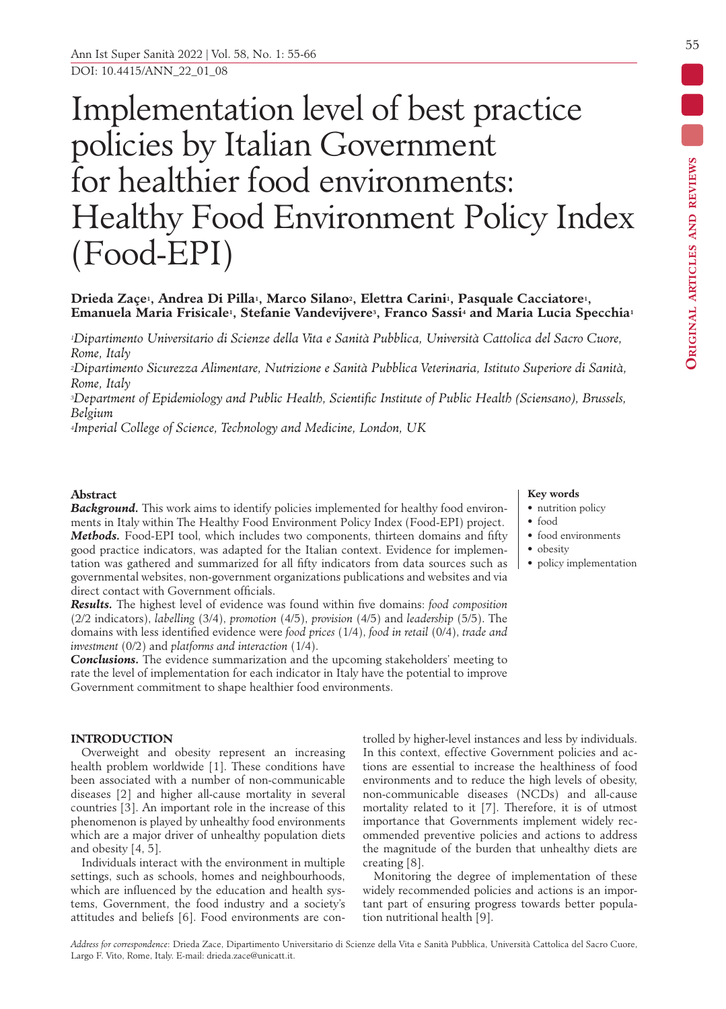# Implementation level of best practice policies by Italian Government for healthier food environments: Healthy Food Environment Policy Index (Food-EPI)

# **Drieda Zaçe1, Andrea Di Pilla1, Marco Silano2, Elettra Carini1, Pasquale Cacciatore1, Emanuela Maria Frisicale1, Stefanie Vandevijvere3, Franco Sassi4 and Maria Lucia Specchia1**

*1Dipartimento Universitario di Scienze della Vita e Sanità Pubblica, Università Cattolica del Sacro Cuore, Rome, Italy*

*2Dipartimento Sicurezza Alimentare, Nutrizione e Sanità Pubblica Veterinaria, Istituto Superiore di Sanità, Rome, Italy*

*3Department of Epidemiology and Public Health, Scientific Institute of Public Health (Sciensano), Brussels, Belgium*

*4Imperial College of Science, Technology and Medicine, London, UK*

# **Abstract**

**Background.** This work aims to identify policies implemented for healthy food environments in Italy within The Healthy Food Environment Policy Index (Food-EPI) project. *Methods.* Food-EPI tool, which includes two components, thirteen domains and fifty good practice indicators, was adapted for the Italian context. Evidence for implementation was gathered and summarized for all fifty indicators from data sources such as governmental websites, non-government organizations publications and websites and via direct contact with Government officials.

*Results.* The highest level of evidence was found within five domains: *food composition* (2/2 indicators), *labelling* (3/4), *promotion* (4/5), *provision* (4/5) and *leadership* (5/5). The domains with less identified evidence were *food prices* (1/4), *food in retail* (0/4), *trade and investment* (0/2) and *platforms and interaction* (1/4).

*Conclusions.* The evidence summarization and the upcoming stakeholders' meeting to rate the level of implementation for each indicator in Italy have the potential to improve Government commitment to shape healthier food environments.

# **INTRODUCTION**

Overweight and obesity represent an increasing health problem worldwide [1]. These conditions have been associated with a number of non-communicable diseases [2] and higher all-cause mortality in several countries [3]. An important role in the increase of this phenomenon is played by unhealthy food environments which are a major driver of unhealthy population diets and obesity [4, 5].

Individuals interact with the environment in multiple settings, such as schools, homes and neighbourhoods, which are influenced by the education and health systems, Government, the food industry and a society's attitudes and beliefs [6]. Food environments are controlled by higher-level instances and less by individuals. In this context, effective Government policies and actions are essential to increase the healthiness of food environments and to reduce the high levels of obesity, non-communicable diseases (NCDs) and all-cause mortality related to it [7]. Therefore, it is of utmost importance that Governments implement widely recommended preventive policies and actions to address the magnitude of the burden that unhealthy diets are creating [8].

Monitoring the degree of implementation of these widely recommended policies and actions is an important part of ensuring progress towards better population nutritional health [9].

# **Key words**

- nutrition policy
- food
- food environments
- obesity
	- policy implementation

ORIGINAL ARTICLES AND REVIEWS **Original articles and reviews**

*Address for correspondence*: Drieda Zace, Dipartimento Universitario di Scienze della Vita e Sanità Pubblica, Università Cattolica del Sacro Cuore, Largo F. Vito, Rome, Italy. E-mail: drieda.zace@unicatt.it.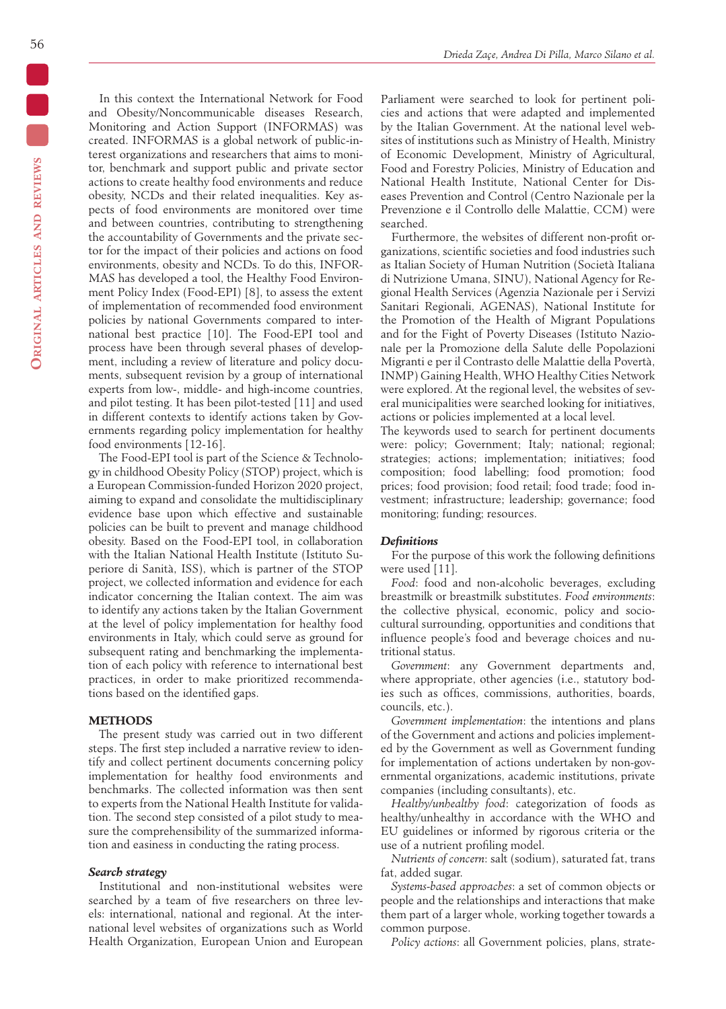In this context the International Network for Food and Obesity/Noncommunicable diseases Research, Monitoring and Action Support (INFORMAS) was created. INFORMAS is a global network of public-interest organizations and researchers that aims to monitor, benchmark and support public and private sector actions to create healthy food environments and reduce obesity, NCDs and their related inequalities. Key aspects of food environments are monitored over time and between countries, contributing to strengthening the accountability of Governments and the private sector for the impact of their policies and actions on food environments, obesity and NCDs. To do this, INFOR-MAS has developed a tool, the Healthy Food Environment Policy Index (Food-EPI) [8], to assess the extent of implementation of recommended food environment policies by national Governments compared to international best practice [10]. The Food-EPI tool and process have been through several phases of development, including a review of literature and policy documents, subsequent revision by a group of international experts from low-, middle- and high-income countries, and pilot testing. It has been pilot-tested [11] and used in different contexts to identify actions taken by Governments regarding policy implementation for healthy food environments [12-16].

The Food-EPI tool is part of the Science & Technology in childhood Obesity Policy (STOP) project, which is a European Commission-funded Horizon 2020 project, aiming to expand and consolidate the multidisciplinary evidence base upon which effective and sustainable policies can be built to prevent and manage childhood obesity. Based on the Food-EPI tool, in collaboration with the Italian National Health Institute (Istituto Superiore di Sanità, ISS), which is partner of the STOP project, we collected information and evidence for each indicator concerning the Italian context. The aim was to identify any actions taken by the Italian Government at the level of policy implementation for healthy food environments in Italy, which could serve as ground for subsequent rating and benchmarking the implementation of each policy with reference to international best practices, in order to make prioritized recommendations based on the identified gaps.

## **METHODS**

The present study was carried out in two different steps. The first step included a narrative review to identify and collect pertinent documents concerning policy implementation for healthy food environments and benchmarks. The collected information was then sent to experts from the National Health Institute for validation. The second step consisted of a pilot study to measure the comprehensibility of the summarized information and easiness in conducting the rating process.

# *Search strategy*

Institutional and non-institutional websites were searched by a team of five researchers on three levels: international, national and regional. At the international level websites of organizations such as World Health Organization, European Union and European

Parliament were searched to look for pertinent policies and actions that were adapted and implemented by the Italian Government. At the national level websites of institutions such as Ministry of Health, Ministry of Economic Development, Ministry of Agricultural, Food and Forestry Policies, Ministry of Education and National Health Institute, National Center for Diseases Prevention and Control (Centro Nazionale per la Prevenzione e il Controllo delle Malattie, CCM) were searched.

Furthermore, the websites of different non-profit organizations, scientific societies and food industries such as Italian Society of Human Nutrition (Società Italiana di Nutrizione Umana, SINU), National Agency for Regional Health Services (Agenzia Nazionale per i Servizi Sanitari Regionali, AGENAS), National Institute for the Promotion of the Health of Migrant Populations and for the Fight of Poverty Diseases (Istituto Nazionale per la Promozione della Salute delle Popolazioni Migranti e per il Contrasto delle Malattie della Povertà, INMP) Gaining Health, WHO Healthy Cities Network were explored. At the regional level, the websites of several municipalities were searched looking for initiatives, actions or policies implemented at a local level.

The keywords used to search for pertinent documents were: policy; Government; Italy; national; regional; strategies; actions; implementation; initiatives; food composition; food labelling; food promotion; food prices; food provision; food retail; food trade; food investment; infrastructure; leadership; governance; food monitoring; funding; resources.

# *Definitions*

For the purpose of this work the following definitions were used [11].

*Food*: food and non-alcoholic beverages, excluding breastmilk or breastmilk substitutes. *Food environments*: the collective physical, economic, policy and sociocultural surrounding, opportunities and conditions that influence people's food and beverage choices and nutritional status.

*Government*: any Government departments and, where appropriate, other agencies (i.e., statutory bodies such as offices, commissions, authorities, boards, councils, etc.).

*Government implementation*: the intentions and plans of the Government and actions and policies implemented by the Government as well as Government funding for implementation of actions undertaken by non-governmental organizations, academic institutions, private companies (including consultants), etc.

*Healthy/unhealthy food*: categorization of foods as healthy/unhealthy in accordance with the WHO and EU guidelines or informed by rigorous criteria or the use of a nutrient profiling model.

*Nutrients of concern*: salt (sodium), saturated fat, trans fat, added sugar.

*Systems-based approaches*: a set of common objects or people and the relationships and interactions that make them part of a larger whole, working together towards a common purpose.

*Policy actions*: all Government policies, plans, strate-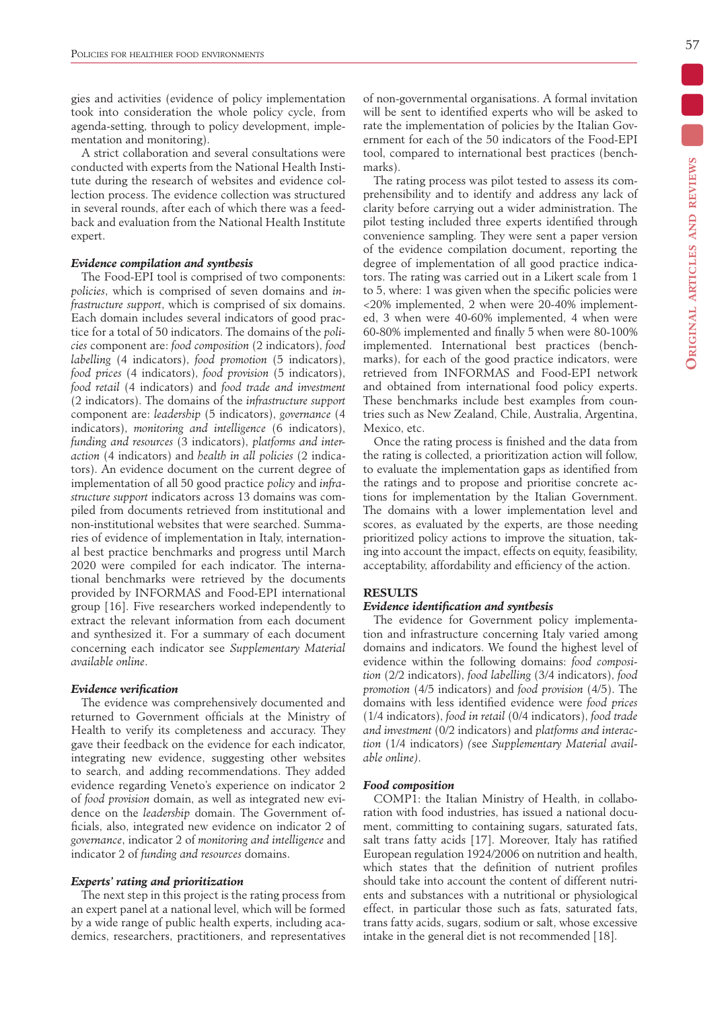gies and activities (evidence of policy implementation took into consideration the whole policy cycle, from agenda-setting, through to policy development, implementation and monitoring).

A strict collaboration and several consultations were conducted with experts from the National Health Institute during the research of websites and evidence collection process. The evidence collection was structured in several rounds, after each of which there was a feedback and evaluation from the National Health Institute expert.

# *Evidence compilation and synthesis*

The Food-EPI tool is comprised of two components: *policies*, which is comprised of seven domains and *infrastructure support*, which is comprised of six domains. Each domain includes several indicators of good practice for a total of 50 indicators. The domains of the *policies* component are: *food composition* (2 indicators), *food labelling* (4 indicators), *food promotion* (5 indicators), *food prices* (4 indicators), *food provision* (5 indicators), *food retail* (4 indicators) and *food trade and investment* (2 indicators). The domains of the *infrastructure support* component are: *leadership* (5 indicators), *governance* (4 indicators), *monitoring and intelligence* (6 indicators), *funding and resources* (3 indicators), *platforms and interaction* (4 indicators) and *health in all policies* (2 indicators). An evidence document on the current degree of implementation of all 50 good practice *policy* and *infrastructure support* indicators across 13 domains was compiled from documents retrieved from institutional and non-institutional websites that were searched. Summaries of evidence of implementation in Italy, international best practice benchmarks and progress until March 2020 were compiled for each indicator. The international benchmarks were retrieved by the documents provided by INFORMAS and Food-EPI international group [16]. Five researchers worked independently to extract the relevant information from each document and synthesized it. For a summary of each document concerning each indicator see *Supplementary Material available online*.

#### *Evidence verification*

The evidence was comprehensively documented and returned to Government officials at the Ministry of Health to verify its completeness and accuracy. They gave their feedback on the evidence for each indicator, integrating new evidence, suggesting other websites to search, and adding recommendations. They added evidence regarding Veneto's experience on indicator 2 of *food provision* domain, as well as integrated new evidence on the *leadership* domain. The Government officials, also, integrated new evidence on indicator 2 of *governance*, indicator 2 of *monitoring and intelligence* and indicator 2 of *funding and resources* domains.

# *Experts' rating and prioritization*

The next step in this project is the rating process from an expert panel at a national level, which will be formed by a wide range of public health experts, including academics, researchers, practitioners, and representatives of non-governmental organisations. A formal invitation will be sent to identified experts who will be asked to rate the implementation of policies by the Italian Government for each of the 50 indicators of the Food-EPI tool, compared to international best practices (benchmarks).

The rating process was pilot tested to assess its comprehensibility and to identify and address any lack of clarity before carrying out a wider administration. The pilot testing included three experts identified through convenience sampling. They were sent a paper version of the evidence compilation document, reporting the degree of implementation of all good practice indicators. The rating was carried out in a Likert scale from 1 to 5, where: 1 was given when the specific policies were <20% implemented, 2 when were 20-40% implemented, 3 when were 40-60% implemented, 4 when were 60-80% implemented and finally 5 when were 80-100% implemented. International best practices (benchmarks), for each of the good practice indicators, were retrieved from INFORMAS and Food-EPI network and obtained from international food policy experts. These benchmarks include best examples from countries such as New Zealand, Chile, Australia, Argentina, Mexico, etc.

Once the rating process is finished and the data from the rating is collected, a prioritization action will follow, to evaluate the implementation gaps as identified from the ratings and to propose and prioritise concrete actions for implementation by the Italian Government. The domains with a lower implementation level and scores, as evaluated by the experts, are those needing prioritized policy actions to improve the situation, taking into account the impact, effects on equity, feasibility, acceptability, affordability and efficiency of the action.

# **RESULTS**

# *Evidence identification and synthesis*

The evidence for Government policy implementation and infrastructure concerning Italy varied among domains and indicators. We found the highest level of evidence within the following domains: *food composition* (2/2 indicators), *food labelling* (3/4 indicators), *food promotion* (4/5 indicators) and *food provision* (4/5). The domains with less identified evidence were *food prices* (1/4 indicators), *food in retail* (0/4 indicators), *food trade and investment* (0/2 indicators) and *platforms and interaction* (1/4 indicators) *(*see *Supplementary Material available online)*.

# *Food composition*

COMP1: the Italian Ministry of Health, in collaboration with food industries, has issued a national document, committing to containing sugars, saturated fats, salt trans fatty acids [17]. Moreover, Italy has ratified European regulation 1924/2006 on nutrition and health, which states that the definition of nutrient profiles should take into account the content of different nutrients and substances with a nutritional or physiological effect, in particular those such as fats, saturated fats, trans fatty acids, sugars, sodium or salt, whose excessive intake in the general diet is not recommended [18].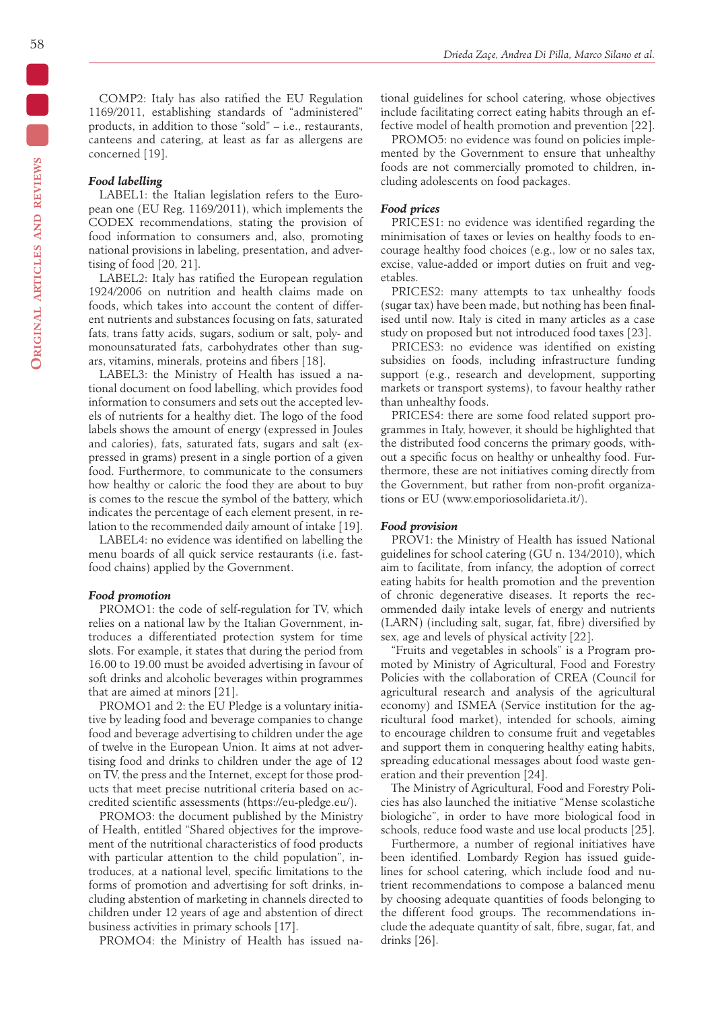COMP2: Italy has also ratified the EU Regulation 1169/2011, establishing standards of "administered" products, in addition to those "sold" – i.e., restaurants, canteens and catering, at least as far as allergens are concerned [19].

#### *Food labelling*

LABEL1: the Italian legislation refers to the European one (EU Reg. 1169/2011), which implements the CODEX recommendations, stating the provision of food information to consumers and, also, promoting national provisions in labeling, presentation, and advertising of food [20, 21].

LABEL2: Italy has ratified the European regulation 1924/2006 on nutrition and health claims made on foods, which takes into account the content of different nutrients and substances focusing on fats, saturated fats, trans fatty acids, sugars, sodium or salt, poly- and monounsaturated fats, carbohydrates other than sugars, vitamins, minerals, proteins and fibers [18].

LABEL3: the Ministry of Health has issued a national document on food labelling, which provides food information to consumers and sets out the accepted levels of nutrients for a healthy diet. The logo of the food labels shows the amount of energy (expressed in Joules and calories), fats, saturated fats, sugars and salt (expressed in grams) present in a single portion of a given food. Furthermore, to communicate to the consumers how healthy or caloric the food they are about to buy is comes to the rescue the symbol of the battery, which indicates the percentage of each element present, in relation to the recommended daily amount of intake [19].

LABEL4: no evidence was identified on labelling the menu boards of all quick service restaurants (i.e. fastfood chains) applied by the Government.

#### *Food promotion*

PROMO1: the code of self-regulation for TV, which relies on a national law by the Italian Government, introduces a differentiated protection system for time slots. For example, it states that during the period from 16.00 to 19.00 must be avoided advertising in favour of soft drinks and alcoholic beverages within programmes that are aimed at minors [21].

PROMO1 and 2: the EU Pledge is a voluntary initiative by leading food and beverage companies to change food and beverage advertising to children under the age of twelve in the European Union. It aims at not advertising food and drinks to children under the age of 12 on TV, the press and the Internet, except for those products that meet precise nutritional criteria based on accredited scientific assessments (https://eu-pledge.eu/).

PROMO3: the document published by the Ministry of Health, entitled "Shared objectives for the improvement of the nutritional characteristics of food products with particular attention to the child population", introduces, at a national level, specific limitations to the forms of promotion and advertising for soft drinks, including abstention of marketing in channels directed to children under 12 years of age and abstention of direct business activities in primary schools [17].

PROMO4: the Ministry of Health has issued na-

tional guidelines for school catering, whose objectives include facilitating correct eating habits through an effective model of health promotion and prevention [22].

PROMO5: no evidence was found on policies implemented by the Government to ensure that unhealthy foods are not commercially promoted to children, including adolescents on food packages.

#### *Food prices*

PRICES1: no evidence was identified regarding the minimisation of taxes or levies on healthy foods to encourage healthy food choices (e.g., low or no sales tax, excise, value-added or import duties on fruit and vegetables.

PRICES2: many attempts to tax unhealthy foods (sugar tax) have been made, but nothing has been finalised until now. Italy is cited in many articles as a case study on proposed but not introduced food taxes [23].

PRICES3: no evidence was identified on existing subsidies on foods, including infrastructure funding support (e.g., research and development, supporting markets or transport systems), to favour healthy rather than unhealthy foods.

PRICES4: there are some food related support programmes in Italy, however, it should be highlighted that the distributed food concerns the primary goods, without a specific focus on healthy or unhealthy food. Furthermore, these are not initiatives coming directly from the Government, but rather from non-profit organizations or EU (www.emporiosolidarieta.it/).

#### *Food provision*

PROV1: the Ministry of Health has issued National guidelines for school catering (GU n. 134/2010), which aim to facilitate, from infancy, the adoption of correct eating habits for health promotion and the prevention of chronic degenerative diseases. It reports the recommended daily intake levels of energy and nutrients (LARN) (including salt, sugar, fat, fibre) diversified by sex, age and levels of physical activity [22].

"Fruits and vegetables in schools" is a Program promoted by Ministry of Agricultural, Food and Forestry Policies with the collaboration of CREA (Council for agricultural research and analysis of the agricultural economy) and ISMEA (Service institution for the agricultural food market), intended for schools, aiming to encourage children to consume fruit and vegetables and support them in conquering healthy eating habits, spreading educational messages about food waste generation and their prevention [24].

The Ministry of Agricultural, Food and Forestry Policies has also launched the initiative "Mense scolastiche biologiche", in order to have more biological food in schools, reduce food waste and use local products [25].

Furthermore, a number of regional initiatives have been identified. Lombardy Region has issued guidelines for school catering, which include food and nutrient recommendations to compose a balanced menu by choosing adequate quantities of foods belonging to the different food groups. The recommendations include the adequate quantity of salt, fibre, sugar, fat, and drinks [26].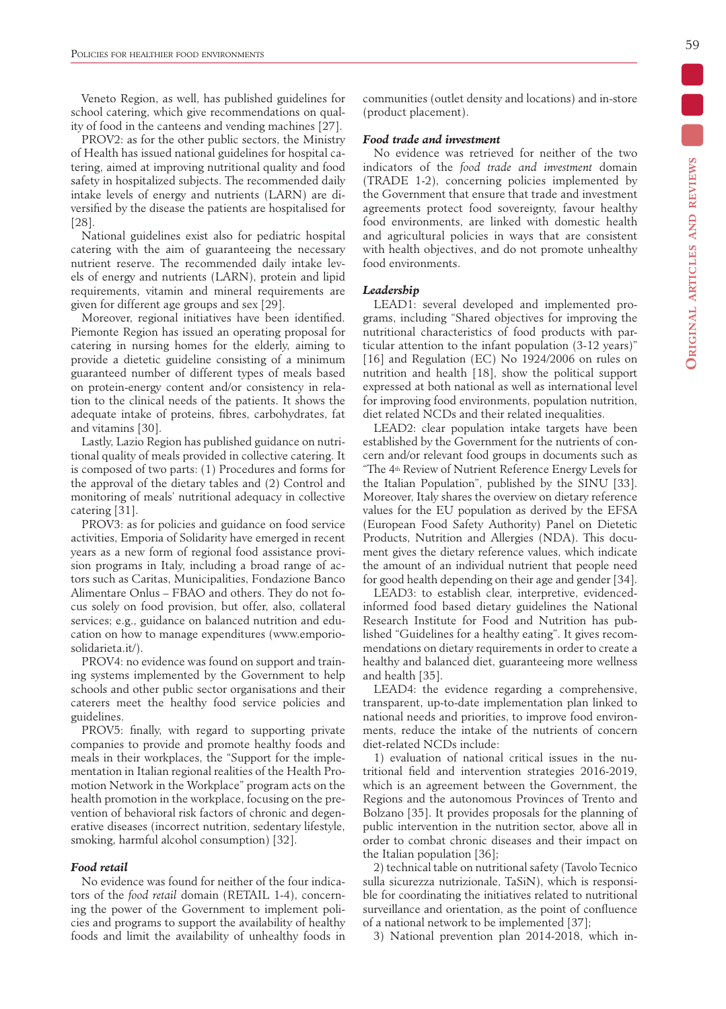Veneto Region, as well, has published guidelines for school catering, which give recommendations on quality of food in the canteens and vending machines [27].

PROV2: as for the other public sectors, the Ministry of Health has issued national guidelines for hospital catering, aimed at improving nutritional quality and food safety in hospitalized subjects. The recommended daily intake levels of energy and nutrients (LARN) are diversified by the disease the patients are hospitalised for [28].

National guidelines exist also for pediatric hospital catering with the aim of guaranteeing the necessary nutrient reserve. The recommended daily intake levels of energy and nutrients (LARN), protein and lipid requirements, vitamin and mineral requirements are given for different age groups and sex [29].

Moreover, regional initiatives have been identified. Piemonte Region has issued an operating proposal for catering in nursing homes for the elderly, aiming to provide a dietetic guideline consisting of a minimum guaranteed number of different types of meals based on protein-energy content and/or consistency in relation to the clinical needs of the patients. It shows the adequate intake of proteins, fibres, carbohydrates, fat and vitamins [30].

Lastly, Lazio Region has published guidance on nutritional quality of meals provided in collective catering. It is composed of two parts: (1) Procedures and forms for the approval of the dietary tables and (2) Control and monitoring of meals' nutritional adequacy in collective catering [31].

PROV3: as for policies and guidance on food service activities, Emporia of Solidarity have emerged in recent years as a new form of regional food assistance provision programs in Italy, including a broad range of actors such as Caritas, Municipalities, Fondazione Banco Alimentare Onlus – FBAO and others. They do not focus solely on food provision, but offer, also, collateral services; e.g., guidance on balanced nutrition and education on how to manage expenditures (www.emporiosolidarieta.it/).

PROV4: no evidence was found on support and training systems implemented by the Government to help schools and other public sector organisations and their caterers meet the healthy food service policies and guidelines.

PROV5: finally, with regard to supporting private companies to provide and promote healthy foods and meals in their workplaces, the "Support for the implementation in Italian regional realities of the Health Promotion Network in the Workplace" program acts on the health promotion in the workplace, focusing on the prevention of behavioral risk factors of chronic and degenerative diseases (incorrect nutrition, sedentary lifestyle, smoking, harmful alcohol consumption) [32].

# *Food retail*

No evidence was found for neither of the four indicators of the *food retail* domain (RETAIL 1-4), concerning the power of the Government to implement policies and programs to support the availability of healthy foods and limit the availability of unhealthy foods in communities (outlet density and locations) and in-store (product placement).

## *Food trade and investment*

No evidence was retrieved for neither of the two indicators of the *food trade and investment* domain (TRADE 1-2), concerning policies implemented by the Government that ensure that trade and investment agreements protect food sovereignty, favour healthy food environments, are linked with domestic health and agricultural policies in ways that are consistent with health objectives, and do not promote unhealthy food environments.

#### *Leadership*

LEAD1: several developed and implemented programs, including "Shared objectives for improving the nutritional characteristics of food products with particular attention to the infant population (3-12 years)" [16] and Regulation (EC) No 1924/2006 on rules on nutrition and health [18], show the political support expressed at both national as well as international level for improving food environments, population nutrition, diet related NCDs and their related inequalities.

LEAD2: clear population intake targets have been established by the Government for the nutrients of concern and/or relevant food groups in documents such as "The 4th Review of Nutrient Reference Energy Levels for the Italian Population", published by the SINU [33]. Moreover, Italy shares the overview on dietary reference values for the EU population as derived by the EFSA (European Food Safety Authority) Panel on Dietetic Products, Nutrition and Allergies (NDA). This document gives the dietary reference values, which indicate the amount of an individual nutrient that people need for good health depending on their age and gender [34].

LEAD3: to establish clear, interpretive, evidencedinformed food based dietary guidelines the National Research Institute for Food and Nutrition has published "Guidelines for a healthy eating". It gives recommendations on dietary requirements in order to create a healthy and balanced diet, guaranteeing more wellness and health [35].

LEAD4: the evidence regarding a comprehensive, transparent, up-to-date implementation plan linked to national needs and priorities, to improve food environments, reduce the intake of the nutrients of concern diet-related NCDs include:

1) evaluation of national critical issues in the nutritional field and intervention strategies 2016-2019, which is an agreement between the Government, the Regions and the autonomous Provinces of Trento and Bolzano [35]. It provides proposals for the planning of public intervention in the nutrition sector, above all in order to combat chronic diseases and their impact on the Italian population [36];

2) technical table on nutritional safety (Tavolo Tecnico sulla sicurezza nutrizionale, TaSiN), which is responsible for coordinating the initiatives related to nutritional surveillance and orientation, as the point of confluence of a national network to be implemented [37];

3) National prevention plan 2014-2018, which in-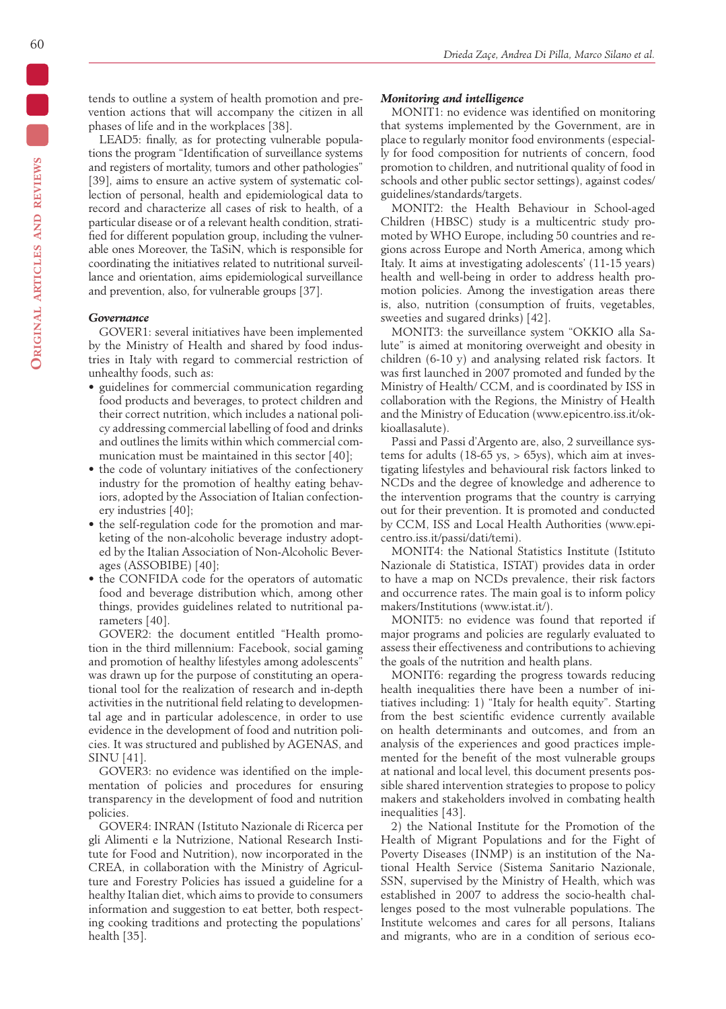tends to outline a system of health promotion and prevention actions that will accompany the citizen in all phases of life and in the workplaces [38].

LEAD5: finally, as for protecting vulnerable populations the program "Identification of surveillance systems and registers of mortality, tumors and other pathologies" [39], aims to ensure an active system of systematic collection of personal, health and epidemiological data to record and characterize all cases of risk to health, of a particular disease or of a relevant health condition, stratified for different population group, including the vulnerable ones Moreover, the TaSiN, which is responsible for coordinating the initiatives related to nutritional surveillance and orientation, aims epidemiological surveillance and prevention, also, for vulnerable groups [37].

## *Governance*

GOVER1: several initiatives have been implemented by the Ministry of Health and shared by food industries in Italy with regard to commercial restriction of unhealthy foods, such as:

- guidelines for commercial communication regarding food products and beverages, to protect children and their correct nutrition, which includes a national policy addressing commercial labelling of food and drinks and outlines the limits within which commercial communication must be maintained in this sector [40];
- the code of voluntary initiatives of the confectionery industry for the promotion of healthy eating behaviors, adopted by the Association of Italian confectionery industries [40];
- the self-regulation code for the promotion and marketing of the non-alcoholic beverage industry adopted by the Italian Association of Non-Alcoholic Beverages (ASSOBIBE) [40];
- the CONFIDA code for the operators of automatic food and beverage distribution which, among other things, provides guidelines related to nutritional parameters [40].

GOVER2: the document entitled "Health promotion in the third millennium: Facebook, social gaming and promotion of healthy lifestyles among adolescents" was drawn up for the purpose of constituting an operational tool for the realization of research and in-depth activities in the nutritional field relating to developmental age and in particular adolescence, in order to use evidence in the development of food and nutrition policies. It was structured and published by AGENAS, and SINU [41].

GOVER3: no evidence was identified on the implementation of policies and procedures for ensuring transparency in the development of food and nutrition policies.

GOVER4: INRAN (Istituto Nazionale di Ricerca per gli Alimenti e la Nutrizione, National Research Institute for Food and Nutrition), now incorporated in the CREA, in collaboration with the Ministry of Agriculture and Forestry Policies has issued a guideline for a healthy Italian diet, which aims to provide to consumers information and suggestion to eat better, both respecting cooking traditions and protecting the populations' health [35].

#### *Monitoring and intelligence*

MONIT1: no evidence was identified on monitoring that systems implemented by the Government, are in place to regularly monitor food environments (especially for food composition for nutrients of concern, food promotion to children, and nutritional quality of food in schools and other public sector settings), against codes/ guidelines/standards/targets.

MONIT2: the Health Behaviour in School-aged Children (HBSC) study is a multicentric study promoted by WHO Europe, including 50 countries and regions across Europe and North America, among which Italy. It aims at investigating adolescents' (11-15 years) health and well-being in order to address health promotion policies. Among the investigation areas there is, also, nutrition (consumption of fruits, vegetables, sweeties and sugared drinks) [42].

MONIT3: the surveillance system "OKKIO alla Salute" is aimed at monitoring overweight and obesity in children (6-10 y) and analysing related risk factors. It was first launched in 2007 promoted and funded by the Ministry of Health/ CCM, and is coordinated by ISS in collaboration with the Regions, the Ministry of Health and the Ministry of Education (www.epicentro.iss.it/okkioallasalute).

Passi and Passi d'Argento are, also, 2 surveillance systems for adults (18-65 ys,  $>$  65ys), which aim at investigating lifestyles and behavioural risk factors linked to NCDs and the degree of knowledge and adherence to the intervention programs that the country is carrying out for their prevention. It is promoted and conducted by CCM, ISS and Local Health Authorities (www.epicentro.iss.it/passi/dati/temi).

MONIT4: the National Statistics Institute (Istituto Nazionale di Statistica, ISTAT) provides data in order to have a map on NCDs prevalence, their risk factors and occurrence rates. The main goal is to inform policy makers/Institutions (www.istat.it/).

MONIT5: no evidence was found that reported if major programs and policies are regularly evaluated to assess their effectiveness and contributions to achieving the goals of the nutrition and health plans.

MONIT6: regarding the progress towards reducing health inequalities there have been a number of initiatives including: 1) "Italy for health equity". Starting from the best scientific evidence currently available on health determinants and outcomes, and from an analysis of the experiences and good practices implemented for the benefit of the most vulnerable groups at national and local level, this document presents possible shared intervention strategies to propose to policy makers and stakeholders involved in combating health inequalities [43].

2) the National Institute for the Promotion of the Health of Migrant Populations and for the Fight of Poverty Diseases (INMP) is an institution of the National Health Service (Sistema Sanitario Nazionale, SSN, supervised by the Ministry of Health, which was established in 2007 to address the socio-health challenges posed to the most vulnerable populations. The Institute welcomes and cares for all persons, Italians and migrants, who are in a condition of serious eco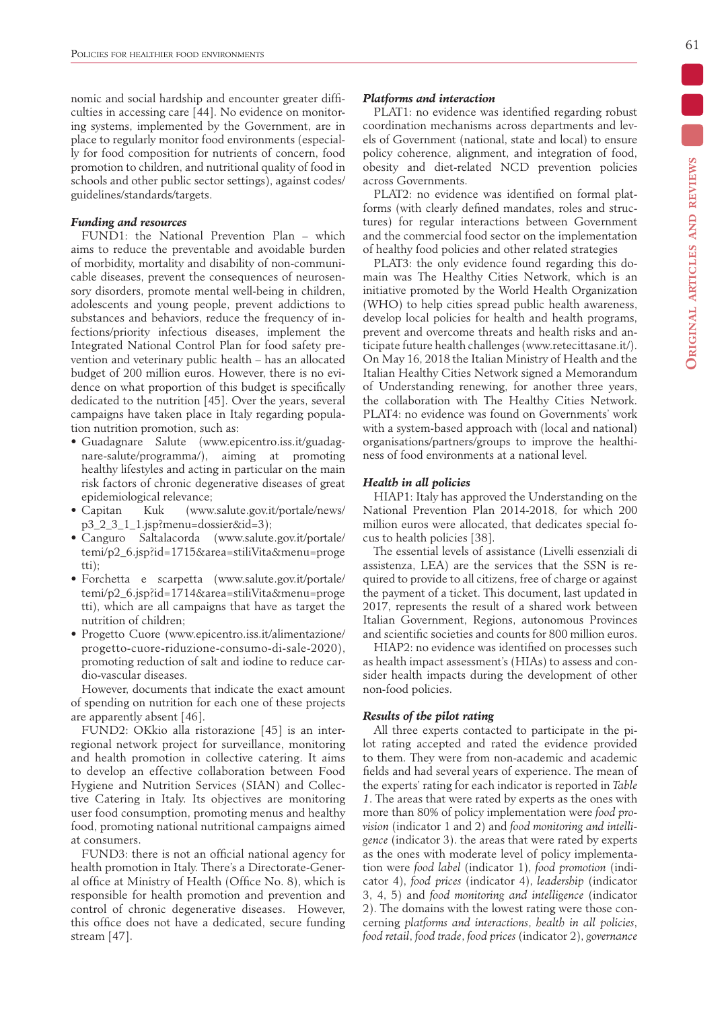nomic and social hardship and encounter greater difficulties in accessing care [44]. No evidence on monitoring systems, implemented by the Government, are in place to regularly monitor food environments (especially for food composition for nutrients of concern, food promotion to children, and nutritional quality of food in schools and other public sector settings), against codes/ guidelines/standards/targets.

# *Funding and resources*

FUND1: the National Prevention Plan – which aims to reduce the preventable and avoidable burden of morbidity, mortality and disability of non-communicable diseases, prevent the consequences of neurosensory disorders, promote mental well-being in children, adolescents and young people, prevent addictions to substances and behaviors, reduce the frequency of infections/priority infectious diseases, implement the Integrated National Control Plan for food safety prevention and veterinary public health – has an allocated budget of 200 million euros. However, there is no evidence on what proportion of this budget is specifically dedicated to the nutrition [45]. Over the years, several campaigns have taken place in Italy regarding population nutrition promotion, such as:

- Guadagnare Salute (www.epicentro.iss.it/guadagnare-salute/programma/), aiming at promoting healthy lifestyles and acting in particular on the main risk factors of chronic degenerative diseases of great epidemiological relevance;
- Capitan Kuk (www.salute.gov.it/portale/news/ p3\_2\_3\_1\_1.jsp?menu=dossier&id=3);
- Canguro Saltalacorda (www.salute.gov.it/portale/ temi/p2\_6.jsp?id=1715&area=stiliVita&menu=proge tti);
- Forchetta e scarpetta (www.salute.gov.it/portale/ temi/p2\_6.jsp?id=1714&area=stiliVita&menu=proge tti), which are all campaigns that have as target the nutrition of children;
- Progetto Cuore (www.epicentro.iss.it/alimentazione/ progetto-cuore-riduzione-consumo-di-sale-2020), promoting reduction of salt and iodine to reduce cardio-vascular diseases.

However, documents that indicate the exact amount of spending on nutrition for each one of these projects are apparently absent [46].

FUND2: OKkio alla ristorazione [45] is an interregional network project for surveillance, monitoring and health promotion in collective catering. It aims to develop an effective collaboration between Food Hygiene and Nutrition Services (SIAN) and Collective Catering in Italy. Its objectives are monitoring user food consumption, promoting menus and healthy food, promoting national nutritional campaigns aimed at consumers.

FUND3: there is not an official national agency for health promotion in Italy. There's a Directorate-General office at Ministry of Health (Office No. 8), which is responsible for health promotion and prevention and control of chronic degenerative diseases. However, this office does not have a dedicated, secure funding stream [47].

## *Platforms and interaction*

PLAT1: no evidence was identified regarding robust coordination mechanisms across departments and levels of Government (national, state and local) to ensure policy coherence, alignment, and integration of food, obesity and diet-related NCD prevention policies across Governments.

PLAT2: no evidence was identified on formal platforms (with clearly defined mandates, roles and structures) for regular interactions between Government and the commercial food sector on the implementation of healthy food policies and other related strategies

PLAT3: the only evidence found regarding this domain was The Healthy Cities Network, which is an initiative promoted by the World Health Organization (WHO) to help cities spread public health awareness, develop local policies for health and health programs, prevent and overcome threats and health risks and anticipate future health challenges (www.retecittasane.it/). On May 16, 2018 the Italian Ministry of Health and the Italian Healthy Cities Network signed a Memorandum of Understanding renewing, for another three years, the collaboration with The Healthy Cities Network. PLAT4: no evidence was found on Governments' work with a system-based approach with (local and national) organisations/partners/groups to improve the healthiness of food environments at a national level.

#### *Health in all policies*

HIAP1: Italy has approved the Understanding on the National Prevention Plan 2014-2018, for which 200 million euros were allocated, that dedicates special focus to health policies [38].

The essential levels of assistance (Livelli essenziali di assistenza, LEA) are the services that the SSN is required to provide to all citizens, free of charge or against the payment of a ticket. This document, last updated in 2017, represents the result of a shared work between Italian Government, Regions, autonomous Provinces and scientific societies and counts for 800 million euros.

HIAP2: no evidence was identified on processes such as health impact assessment's (HIAs) to assess and consider health impacts during the development of other non-food policies.

# *Results of the pilot rating*

All three experts contacted to participate in the pilot rating accepted and rated the evidence provided to them. They were from non-academic and academic fields and had several years of experience. The mean of the experts' rating for each indicator is reported in *Table 1*. The areas that were rated by experts as the ones with more than 80% of policy implementation were *food provision* (indicator 1 and 2) and *food monitoring and intelligence* (indicator 3). the areas that were rated by experts as the ones with moderate level of policy implementation were *food label* (indicator 1), *food promotion* (indicator 4), *food prices* (indicator 4), *leadership* (indicator 3, 4, 5) and *food monitoring and intelligence* (indicator 2). The domains with the lowest rating were those concerning *platforms and interactions*, *health in all policies*, *food retail*, *food trade*, *food prices* (indicator 2), *governance*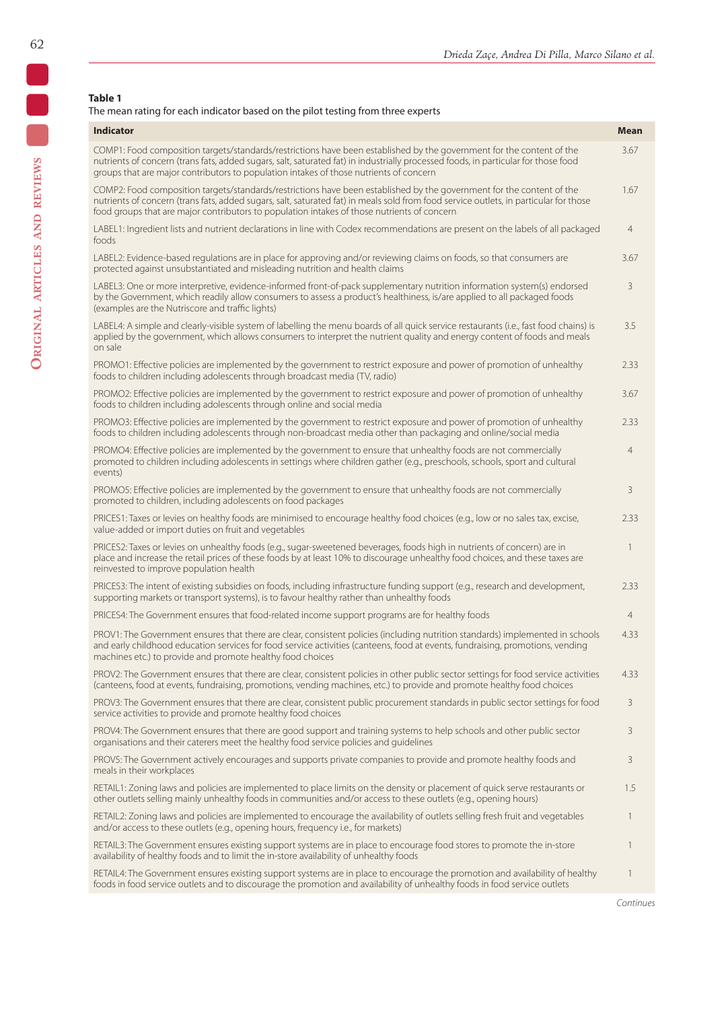# **Table 1**

# The mean rating for each indicator based on the pilot testing from three experts

| <b>Indicator</b>                                                                                                                                                                                                                                                                                                                                              | <b>Mean</b>    |
|---------------------------------------------------------------------------------------------------------------------------------------------------------------------------------------------------------------------------------------------------------------------------------------------------------------------------------------------------------------|----------------|
| COMP1: Food composition targets/standards/restrictions have been established by the government for the content of the<br>nutrients of concern (trans fats, added sugars, salt, saturated fat) in industrially processed foods, in particular for those food<br>groups that are major contributors to population intakes of those nutrients of concern         | 3.67           |
| COMP2: Food composition targets/standards/restrictions have been established by the government for the content of the<br>nutrients of concern (trans fats, added sugars, salt, saturated fat) in meals sold from food service outlets, in particular for those<br>food groups that are major contributors to population intakes of those nutrients of concern | 1.67           |
| LABEL1: Ingredient lists and nutrient declarations in line with Codex recommendations are present on the labels of all packaged<br>foods                                                                                                                                                                                                                      | $\overline{4}$ |
| LABEL2: Evidence-based regulations are in place for approving and/or reviewing claims on foods, so that consumers are<br>protected against unsubstantiated and misleading nutrition and health claims                                                                                                                                                         | 3.67           |
| LABEL3: One or more interpretive, evidence-informed front-of-pack supplementary nutrition information system(s) endorsed<br>by the Government, which readily allow consumers to assess a product's healthiness, is/are applied to all packaged foods<br>(examples are the Nutriscore and traffic lights)                                                      | 3              |
| LABEL4: A simple and clearly-visible system of labelling the menu boards of all quick service restaurants (i.e., fast food chains) is<br>applied by the government, which allows consumers to interpret the nutrient quality and energy content of foods and meals<br>on sale                                                                                 | 3.5            |
| PROMO1: Effective policies are implemented by the government to restrict exposure and power of promotion of unhealthy<br>foods to children including adolescents through broadcast media (TV, radio)                                                                                                                                                          | 2.33           |
| PROMO2: Effective policies are implemented by the government to restrict exposure and power of promotion of unhealthy<br>foods to children including adolescents through online and social media                                                                                                                                                              | 3.67           |
| PROMO3: Effective policies are implemented by the government to restrict exposure and power of promotion of unhealthy<br>foods to children including adolescents through non-broadcast media other than packaging and online/social media                                                                                                                     | 2.33           |
| PROMO4: Effective policies are implemented by the government to ensure that unhealthy foods are not commercially<br>promoted to children including adolescents in settings where children gather (e.g., preschools, schools, sport and cultural<br>events)                                                                                                    | $\overline{4}$ |
| PROMO5: Effective policies are implemented by the government to ensure that unhealthy foods are not commercially<br>promoted to children, including adolescents on food packages                                                                                                                                                                              | 3              |
| PRICES1: Taxes or levies on healthy foods are minimised to encourage healthy food choices (e.g., low or no sales tax, excise,<br>value-added or import duties on fruit and vegetables                                                                                                                                                                         | 2.33           |
| PRICES2: Taxes or levies on unhealthy foods (e.g., sugar-sweetened beverages, foods high in nutrients of concern) are in<br>place and increase the retail prices of these foods by at least 10% to discourage unhealthy food choices, and these taxes are<br>reinvested to improve population health                                                          | 1              |
| PRICES3: The intent of existing subsidies on foods, including infrastructure funding support (e.g., research and development,<br>supporting markets or transport systems), is to favour healthy rather than unhealthy foods                                                                                                                                   | 2.33           |
| PRICES4: The Government ensures that food-related income support programs are for healthy foods                                                                                                                                                                                                                                                               | $\overline{4}$ |
| PROV1: The Government ensures that there are clear, consistent policies (including nutrition standards) implemented in schools<br>and early childhood education services for food service activities (canteens, food at events, fundraising, promotions, vending<br>machines etc.) to provide and promote healthy food choices                                | 4.33           |
| PROV2: The Government ensures that there are clear, consistent policies in other public sector settings for food service activities<br>(canteens, food at events, fundraising, promotions, vending machines, etc.) to provide and promote healthy food choices                                                                                                | 4.33           |
| PROV3: The Government ensures that there are clear, consistent public procurement standards in public sector settings for food<br>service activities to provide and promote healthy food choices                                                                                                                                                              | 3              |
| PROV4: The Government ensures that there are good support and training systems to help schools and other public sector<br>organisations and their caterers meet the healthy food service policies and quidelines                                                                                                                                              | 3              |
| PROV5: The Government actively encourages and supports private companies to provide and promote healthy foods and<br>meals in their workplaces                                                                                                                                                                                                                | 3              |
| RETAIL1: Zoning laws and policies are implemented to place limits on the density or placement of quick serve restaurants or<br>other outlets selling mainly unhealthy foods in communities and/or access to these outlets (e.g., opening hours)                                                                                                               | 1.5            |
| RETAIL2: Zoning laws and policies are implemented to encourage the availability of outlets selling fresh fruit and vegetables<br>and/or access to these outlets (e.g., opening hours, frequency i.e., for markets)                                                                                                                                            | 1              |
| RETAIL3: The Government ensures existing support systems are in place to encourage food stores to promote the in-store<br>availability of healthy foods and to limit the in-store availability of unhealthy foods                                                                                                                                             | 1              |
| RETAIL4: The Government ensures existing support systems are in place to encourage the promotion and availability of healthy                                                                                                                                                                                                                                  | 1              |

foods in food service outlets and to discourage the promotion and availability of unhealthy foods in food service outlets

62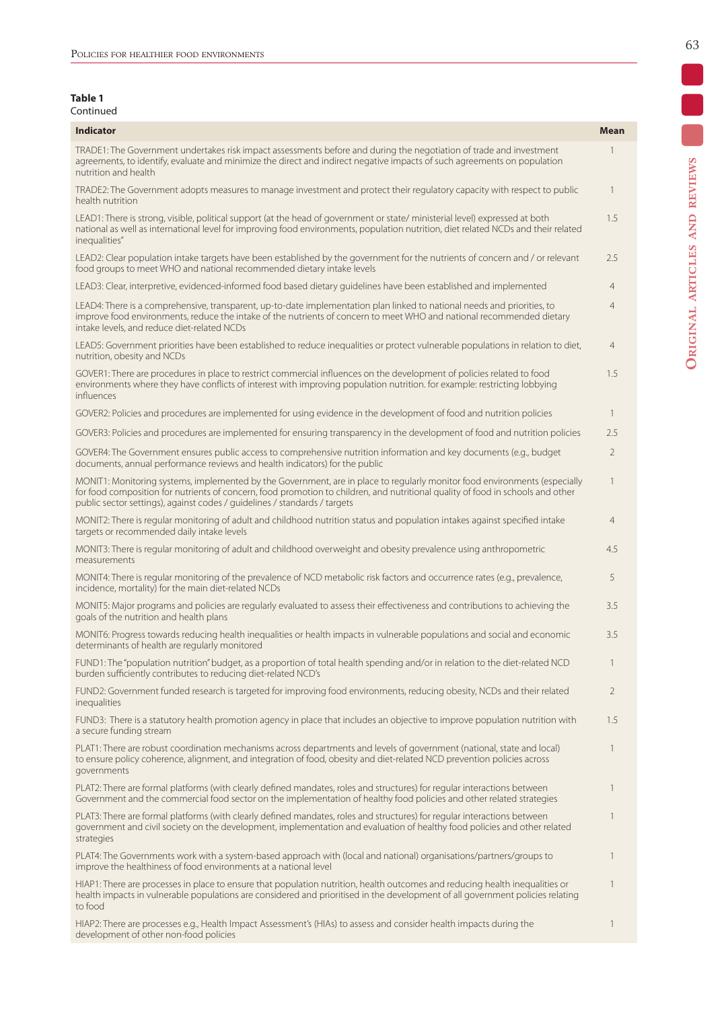| Table 1   |
|-----------|
| Continued |

| <b>Indicator</b>                                                                                                                                                                                                                                                                                                                           | Mean           |
|--------------------------------------------------------------------------------------------------------------------------------------------------------------------------------------------------------------------------------------------------------------------------------------------------------------------------------------------|----------------|
| TRADE1: The Government undertakes risk impact assessments before and during the negotiation of trade and investment<br>agreements, to identify, evaluate and minimize the direct and indirect negative impacts of such agreements on population<br>nutrition and health                                                                    | 1              |
| TRADE2: The Government adopts measures to manage investment and protect their regulatory capacity with respect to public<br>health nutrition                                                                                                                                                                                               | $\mathbf{1}$   |
| LEAD1: There is strong, visible, political support (at the head of government or state/ministerial level) expressed at both<br>national as well as international level for improving food environments, population nutrition, diet related NCDs and their related<br>inequalities"                                                         | 1.5            |
| LEAD2: Clear population intake targets have been established by the government for the nutrients of concern and / or relevant<br>food groups to meet WHO and national recommended dietary intake levels                                                                                                                                    | 2.5            |
| LEAD3: Clear, interpretive, evidenced-informed food based dietary quidelines have been established and implemented                                                                                                                                                                                                                         | 4              |
| LEAD4: There is a comprehensive, transparent, up-to-date implementation plan linked to national needs and priorities, to<br>improve food environments, reduce the intake of the nutrients of concern to meet WHO and national recommended dietary<br>intake levels, and reduce diet-related NCDs                                           | $\overline{4}$ |
| LEAD5: Government priorities have been established to reduce inequalities or protect vulnerable populations in relation to diet,<br>nutrition, obesity and NCDs                                                                                                                                                                            | 4              |
| GOVER1: There are procedures in place to restrict commercial influences on the development of policies related to food<br>environments where they have conflicts of interest with improving population nutrition. for example: restricting lobbying<br>influences                                                                          | 1.5            |
| GOVER2: Policies and procedures are implemented for using evidence in the development of food and nutrition policies                                                                                                                                                                                                                       | $\mathbf{1}$   |
| GOVER3: Policies and procedures are implemented for ensuring transparency in the development of food and nutrition policies                                                                                                                                                                                                                | 2.5            |
| GOVER4: The Government ensures public access to comprehensive nutrition information and key documents (e.g., budget<br>documents, annual performance reviews and health indicators) for the public                                                                                                                                         | $\overline{2}$ |
| MONIT1: Monitoring systems, implemented by the Government, are in place to regularly monitor food environments (especially<br>for food composition for nutrients of concern, food promotion to children, and nutritional quality of food in schools and other<br>public sector settings), against codes / guidelines / standards / targets | $\mathbf{1}$   |
| MONIT2: There is regular monitoring of adult and childhood nutrition status and population intakes against specified intake<br>targets or recommended daily intake levels                                                                                                                                                                  | $\overline{4}$ |
| MONIT3: There is regular monitoring of adult and childhood overweight and obesity prevalence using anthropometric<br>measurements                                                                                                                                                                                                          | 4.5            |
| MONIT4: There is regular monitoring of the prevalence of NCD metabolic risk factors and occurrence rates (e.g., prevalence,<br>incidence, mortality) for the main diet-related NCDs                                                                                                                                                        | 5              |
| MONIT5: Major programs and policies are regularly evaluated to assess their effectiveness and contributions to achieving the<br>goals of the nutrition and health plans                                                                                                                                                                    | 3.5            |
| MONIT6: Progress towards reducing health inequalities or health impacts in vulnerable populations and social and economic<br>determinants of health are regularly monitored                                                                                                                                                                | 3.5            |
| FUND1: The "population nutrition" budget, as a proportion of total health spending and/or in relation to the diet-related NCD<br>burden sufficiently contributes to reducing diet-related NCD's                                                                                                                                            | 1              |
| FUND2: Government funded research is targeted for improving food environments, reducing obesity, NCDs and their related<br>inequalities                                                                                                                                                                                                    | $\overline{2}$ |
| FUND3: There is a statutory health promotion agency in place that includes an objective to improve population nutrition with<br>a secure funding stream                                                                                                                                                                                    | 1.5            |
| PLAT1: There are robust coordination mechanisms across departments and levels of government (national, state and local)<br>to ensure policy coherence, alignment, and integration of food, obesity and diet-related NCD prevention policies across<br>governments                                                                          | 1              |
| PLAT2: There are formal platforms (with clearly defined mandates, roles and structures) for regular interactions between<br>Government and the commercial food sector on the implementation of healthy food policies and other related strategies                                                                                          | 1              |
| PLAT3: There are formal platforms (with clearly defined mandates, roles and structures) for regular interactions between<br>government and civil society on the development, implementation and evaluation of healthy food policies and other related<br>strategies                                                                        | 1              |
| PLAT4: The Governments work with a system-based approach with (local and national) organisations/partners/groups to<br>improve the healthiness of food environments at a national level                                                                                                                                                    | $\mathbf{1}$   |
| HIAP1: There are processes in place to ensure that population nutrition, health outcomes and reducing health inequalities or<br>health impacts in vulnerable populations are considered and prioritised in the development of all government policies relating<br>to food                                                                  | 1              |
| HIAP2: There are processes e.g., Health Impact Assessment's (HIAs) to assess and consider health impacts during the<br>development of other non-food policies                                                                                                                                                                              | $\mathbf{1}$   |

 $\blacksquare$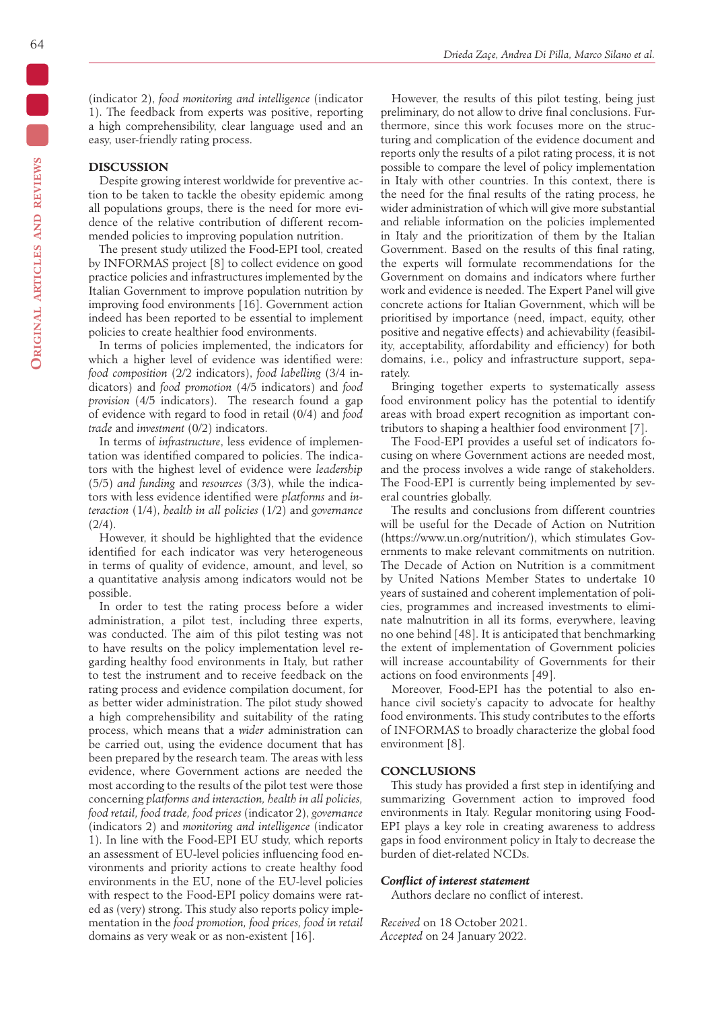(indicator 2), *food monitoring and intelligence* (indicator 1). The feedback from experts was positive, reporting a high comprehensibility, clear language used and an easy, user-friendly rating process.

### **DISCUSSION**

Despite growing interest worldwide for preventive action to be taken to tackle the obesity epidemic among all populations groups, there is the need for more evidence of the relative contribution of different recommended policies to improving population nutrition.

The present study utilized the Food-EPI tool, created by INFORMAS project [8] to collect evidence on good practice policies and infrastructures implemented by the Italian Government to improve population nutrition by improving food environments [16]. Government action indeed has been reported to be essential to implement policies to create healthier food environments.

In terms of policies implemented, the indicators for which a higher level of evidence was identified were: *food composition* (2/2 indicators), *food labelling* (3/4 indicators) and *food promotion* (4/5 indicators) and *food provision* (4/5 indicators). The research found a gap of evidence with regard to food in retail (0/4) and *food trade* and *investment* (0/2) indicators.

In terms of *infrastructure*, less evidence of implementation was identified compared to policies. The indicators with the highest level of evidence were *leadership* (5/5) *and funding* and *resources* (3/3), while the indicators with less evidence identified were *platforms* and *interaction* (1/4), *health in all policies* (1/2) and *governance*  $(2/4).$ 

However, it should be highlighted that the evidence identified for each indicator was very heterogeneous in terms of quality of evidence, amount, and level, so a quantitative analysis among indicators would not be possible.

In order to test the rating process before a wider administration, a pilot test, including three experts, was conducted. The aim of this pilot testing was not to have results on the policy implementation level regarding healthy food environments in Italy, but rather to test the instrument and to receive feedback on the rating process and evidence compilation document, for as better wider administration. The pilot study showed a high comprehensibility and suitability of the rating process, which means that a *wider* administration can be carried out, using the evidence document that has been prepared by the research team. The areas with less evidence, where Government actions are needed the most according to the results of the pilot test were those concerning *platforms and interaction, health in all policies, food retail, food trade, food prices* (indicator 2), *governance*  (indicators 2) and *monitoring and intelligence* (indicator 1). In line with the Food-EPI EU study, which reports an assessment of EU-level policies influencing food environments and priority actions to create healthy food environments in the EU, none of the EU-level policies with respect to the Food-EPI policy domains were rated as (very) strong. This study also reports policy implementation in the *food promotion, food prices, food in retail*  domains as very weak or as non-existent [16].

However, the results of this pilot testing, being just preliminary, do not allow to drive final conclusions. Furthermore, since this work focuses more on the structuring and complication of the evidence document and reports only the results of a pilot rating process, it is not possible to compare the level of policy implementation in Italy with other countries. In this context, there is the need for the final results of the rating process, he wider administration of which will give more substantial and reliable information on the policies implemented in Italy and the prioritization of them by the Italian Government. Based on the results of this final rating, the experts will formulate recommendations for the Government on domains and indicators where further work and evidence is needed. The Expert Panel will give concrete actions for Italian Government, which will be prioritised by importance (need, impact, equity, other positive and negative effects) and achievability (feasibility, acceptability, affordability and efficiency) for both domains, i.e., policy and infrastructure support, separately.

Bringing together experts to systematically assess food environment policy has the potential to identify areas with broad expert recognition as important contributors to shaping a healthier food environment [7].

The Food-EPI provides a useful set of indicators focusing on where Government actions are needed most, and the process involves a wide range of stakeholders. The Food-EPI is currently being implemented by several countries globally.

The results and conclusions from different countries will be useful for the Decade of Action on Nutrition (https://www.un.org/nutrition/), which stimulates Governments to make relevant commitments on nutrition. The Decade of Action on Nutrition is a commitment by United Nations Member States to undertake 10 years of sustained and coherent implementation of policies, programmes and increased investments to eliminate malnutrition in all its forms, everywhere, leaving no one behind [48]. It is anticipated that benchmarking the extent of implementation of Government policies will increase accountability of Governments for their actions on food environments [49].

Moreover, Food-EPI has the potential to also enhance civil society's capacity to advocate for healthy food environments. This study contributes to the efforts of INFORMAS to broadly characterize the global food environment [8].

## **CONCLUSIONS**

This study has provided a first step in identifying and summarizing Government action to improved food environments in Italy. Regular monitoring using Food-EPI plays a key role in creating awareness to address gaps in food environment policy in Italy to decrease the burden of diet-related NCDs.

#### *Conflict of interest statement*

Authors declare no conflict of interest.

*Received* on 18 October 2021. *Accepted* on 24 January 2022.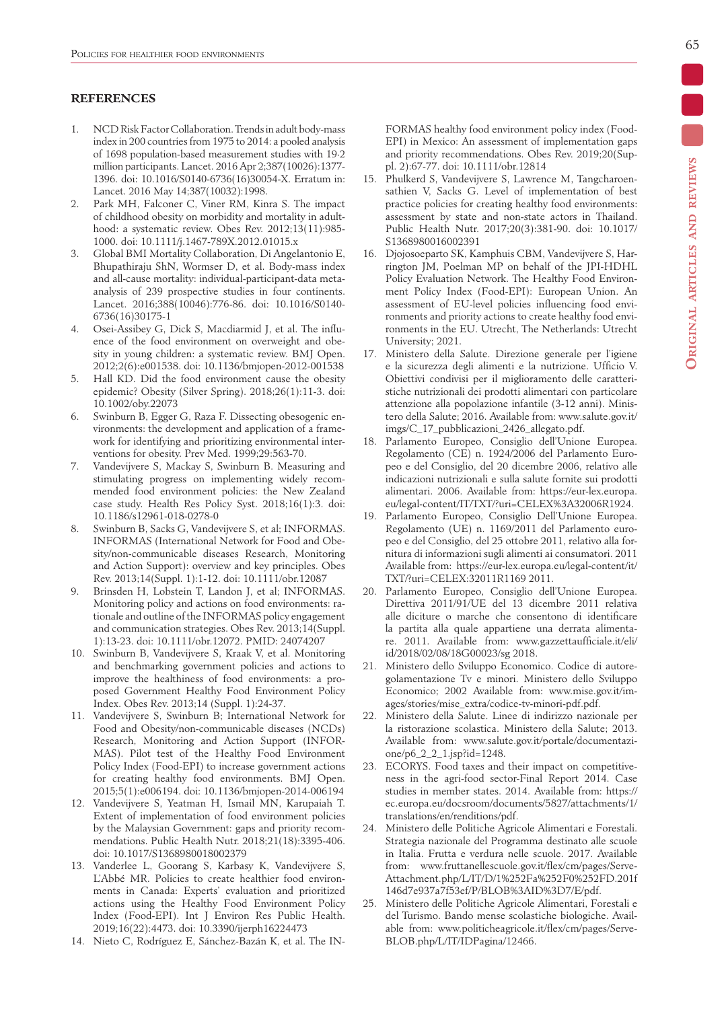# **REFERENCES**

- 1. NCD Risk Factor Collaboration. Trends in adult body-mass index in 200 countries from 1975 to 2014: a pooled analysis of 1698 population-based measurement studies with 19·2 million participants. Lancet. 2016 Apr 2;387(10026):1377- 1396. doi: 10.1016/S0140-6736(16)30054-X. Erratum in: Lancet. 2016 May 14;387(10032):1998.
- 2. Park MH, Falconer C, Viner RM, Kinra S. The impact of childhood obesity on morbidity and mortality in adulthood: a systematic review. Obes Rev. 2012;13(11):985- 1000. doi: 10.1111/j.1467-789X.2012.01015.x
- 3. Global BMI Mortality Collaboration, Di Angelantonio E, Bhupathiraju ShN, Wormser D, et al. Body-mass index and all-cause mortality: individual-participant-data metaanalysis of 239 prospective studies in four continents. Lancet. 2016;388(10046):776-86. doi: 10.1016/S0140- 6736(16)30175-1
- 4. Osei-Assibey G, Dick S, Macdiarmid J, et al. The influence of the food environment on overweight and obesity in young children: a systematic review. BMJ Open. 2012;2(6):e001538. doi: 10.1136/bmjopen-2012-001538
- 5. Hall KD. Did the food environment cause the obesity epidemic? Obesity (Silver Spring). 2018;26(1):11-3. doi: 10.1002/oby.22073
- 6. Swinburn B, Egger G, Raza F. Dissecting obesogenic environments: the development and application of a framework for identifying and prioritizing environmental interventions for obesity. Prev Med. 1999;29:563-70.
- 7. Vandevijvere S, Mackay S, Swinburn B. Measuring and stimulating progress on implementing widely recommended food environment policies: the New Zealand case study. Health Res Policy Syst. 2018;16(1):3. doi: 10.1186/s12961-018-0278-0
- 8. Swinburn B, Sacks G, Vandevijvere S, et al; INFORMAS. INFORMAS (International Network for Food and Obesity/non-communicable diseases Research, Monitoring and Action Support): overview and key principles. Obes Rev. 2013;14(Suppl. 1):1-12. doi: 10.1111/obr.12087
- 9. Brinsden H, Lobstein T, Landon J, et al; INFORMAS. Monitoring policy and actions on food environments: rationale and outline of the INFORMAS policy engagement and communication strategies. Obes Rev. 2013;14(Suppl. 1):13-23. doi: 10.1111/obr.12072. PMID: 24074207
- 10. Swinburn B, Vandevijvere S, Kraak V, et al. Monitoring and benchmarking government policies and actions to improve the healthiness of food environments: a proposed Government Healthy Food Environment Policy Index. Obes Rev. 2013;14 (Suppl. 1):24-37.
- 11. Vandevijvere S, Swinburn B; International Network for Food and Obesity/non-communicable diseases (NCDs) Research, Monitoring and Action Support (INFOR-MAS). Pilot test of the Healthy Food Environment Policy Index (Food-EPI) to increase government actions for creating healthy food environments. BMJ Open. 2015;5(1):e006194. doi: 10.1136/bmjopen-2014-006194
- 12. Vandevijvere S, Yeatman H, Ismail MN, Karupaiah T. Extent of implementation of food environment policies by the Malaysian Government: gaps and priority recommendations. Public Health Nutr. 2018;21(18):3395-406. doi: 10.1017/S1368980018002379
- 13. Vanderlee L, Goorang S, Karbasy K, Vandevijvere S, L'Abbé MR. Policies to create healthier food environments in Canada: Experts' evaluation and prioritized actions using the Healthy Food Environment Policy Index (Food-EPI). Int J Environ Res Public Health. 2019;16(22):4473. doi: 10.3390/ijerph16224473
- 14. Nieto C, Rodríguez E, Sánchez-Bazán K, et al. The IN-

FORMAS healthy food environment policy index (Food-EPI) in Mexico: An assessment of implementation gaps and priority recommendations. Obes Rev. 2019;20(Suppl. 2):67-77. doi: 10.1111/obr.12814

- 15. Phulkerd S, Vandevijvere S, Lawrence M, Tangcharoensathien V, Sacks G. Level of implementation of best practice policies for creating healthy food environments: assessment by state and non-state actors in Thailand. Public Health Nutr. 2017;20(3):381-90. doi: 10.1017/ S1368980016002391
- 16. Djojosoeparto SK, Kamphuis CBM, Vandevijvere S, Harrington JM, Poelman MP on behalf of the JPI-HDHL Policy Evaluation Network. The Healthy Food Environment Policy Index (Food-EPI): European Union. An assessment of EU-level policies influencing food environments and priority actions to create healthy food environments in the EU. Utrecht, The Netherlands: Utrecht University; 2021.
- 17. Ministero della Salute. Direzione generale per l'igiene e la sicurezza degli alimenti e la nutrizione. Ufficio V. Obiettivi condivisi per il miglioramento delle caratteristiche nutrizionali dei prodotti alimentari con particolare attenzione alla popolazione infantile (3-12 anni). Ministero della Salute; 2016. Available from: www.salute.gov.it/ imgs/C\_17\_pubblicazioni\_2426\_allegato.pdf.
- 18. Parlamento Europeo, Consiglio dell'Unione Europea. Regolamento (CE) n. 1924/2006 del Parlamento Europeo e del Consiglio, del 20 dicembre 2006, relativo alle indicazioni nutrizionali e sulla salute fornite sui prodotti alimentari. 2006. Available from: https://eur-lex.europa. eu/legal-content/IT/TXT/?uri=CELEX%3A32006R1924.
- 19. Parlamento Europeo, Consiglio Dell'Unione Europea. Regolamento (UE) n. 1169/2011 del Parlamento europeo e del Consiglio, del 25 ottobre 2011, relativo alla fornitura di informazioni sugli alimenti ai consumatori. 2011 Available from: https://eur-lex.europa.eu/legal-content/it/ TXT/?uri=CELEX:32011R1169 2011.
- 20. Parlamento Europeo, Consiglio dell'Unione Europea. Direttiva 2011/91/UE del 13 dicembre 2011 relativa alle diciture o marche che consentono di identificare la partita alla quale appartiene una derrata alimentare. 2011. Available from: www.gazzettaufficiale.it/eli/ id/2018/02/08/18G00023/sg 2018.
- 21. Ministero dello Sviluppo Economico. Codice di autoregolamentazione Tv e minori. Ministero dello Sviluppo Economico; 2002 Available from: www.mise.gov.it/images/stories/mise\_extra/codice-tv-minori-pdf.pdf.
- 22. Ministero della Salute. Linee di indirizzo nazionale per la ristorazione scolastica. Ministero della Salute; 2013. Available from: www.salute.gov.it/portale/documentazione/p6\_2\_2\_1.jsp?id=1248.
- 23. ECORYS. Food taxes and their impact on competitiveness in the agri-food sector-Final Report 2014. Case studies in member states. 2014. Available from: https:// ec.europa.eu/docsroom/documents/5827/attachments/1/ translations/en/renditions/pdf.
- 24. Ministero delle Politiche Agricole Alimentari e Forestali. Strategia nazionale del Programma destinato alle scuole in Italia. Frutta e verdura nelle scuole. 2017. Available from: www.fruttanellescuole.gov.it/flex/cm/pages/Serve-Attachment.php/L/IT/D/1%252Fa%252F0%252FD.201f 146d7e937a7f53ef/P/BLOB%3AID%3D7/E/pdf.
- 25. Ministero delle Politiche Agricole Alimentari, Forestali e del Turismo. Bando mense scolastiche biologiche. Available from: www.politicheagricole.it/flex/cm/pages/Serve-BLOB.php/L/IT/IDPagina/12466.